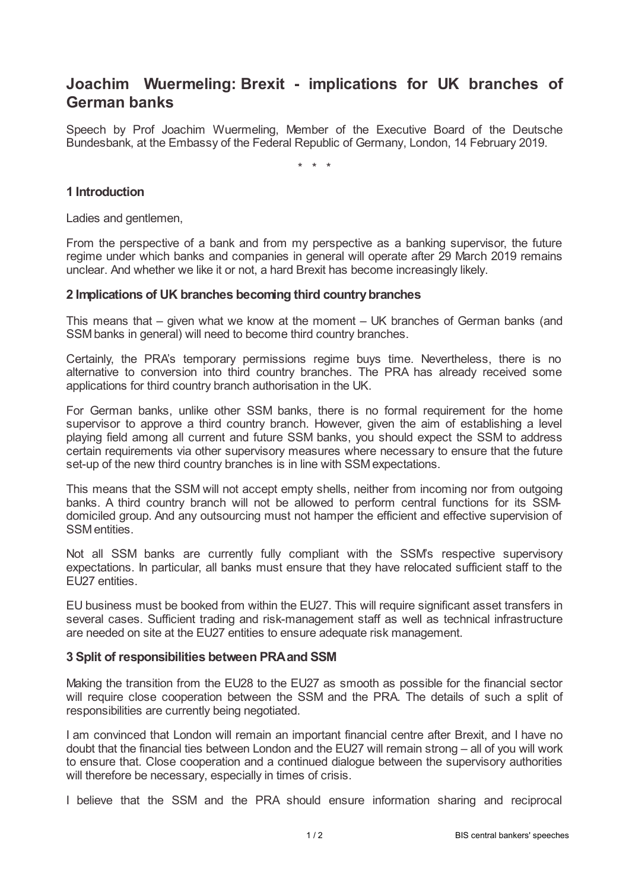# **Joachim Wuermeling: Brexit - implications for UK branches of German banks**

Speech by Prof Joachim Wuermeling, Member of the Executive Board of the Deutsche Bundesbank, at the Embassy of the Federal Republic of Germany, London, 14 February 2019.

\* \* \*

## **1 Introduction**

Ladies and gentlemen,

From the perspective of a bank and from my perspective as a banking supervisor, the future regime under which banks and companies in general will operate after 29 March 2019 remains unclear. And whether we like it or not, a hard Brexit has become increasingly likely.

### **2 Implications of UK branches becoming third countrybranches**

This means that – given what we know at the moment – UK branches of German banks (and SSM banks in general) will need to become third country branches.

Certainly, the PRA's temporary permissions regime buys time. Nevertheless, there is no alternative to conversion into third country branches. The PRA has already received some applications for third country branch authorisation in the UK.

For German banks, unlike other SSM banks, there is no formal requirement for the home supervisor to approve a third country branch. However, given the aim of establishing a level playing field among all current and future SSM banks, you should expect the SSM to address certain requirements via other supervisory measures where necessary to ensure that the future set-up of the new third country branches is in line with SSMexpectations.

This means that the SSM will not accept empty shells, neither from incoming nor from outgoing banks. A third country branch will not be allowed to perform central functions for its SSMdomiciled group. And any outsourcing must not hamper the efficient and effective supervision of SSMentities.

Not all SSM banks are currently fully compliant with the SSM's respective supervisory expectations. In particular, all banks must ensure that they have relocated sufficient staff to the EU27 entities.

EU business must be booked from within the EU27. This will require significant asset transfers in several cases. Sufficient trading and risk-management staff as well as technical infrastructure are needed on site at the EU27 entities to ensure adequate risk management.

### **3 Split of responsibilities between PRAand SSM**

Making the transition from the EU28 to the EU27 as smooth as possible for the financial sector will require close cooperation between the SSM and the PRA. The details of such a split of responsibilities are currently being negotiated.

I am convinced that London will remain an important financial centre after Brexit, and I have no doubt that the financial ties between London and the EU27 will remain strong – all of you will work to ensure that. Close cooperation and a continued dialogue between the supervisory authorities will therefore be necessary, especially in times of crisis.

I believe that the SSM and the PRA should ensure information sharing and reciprocal